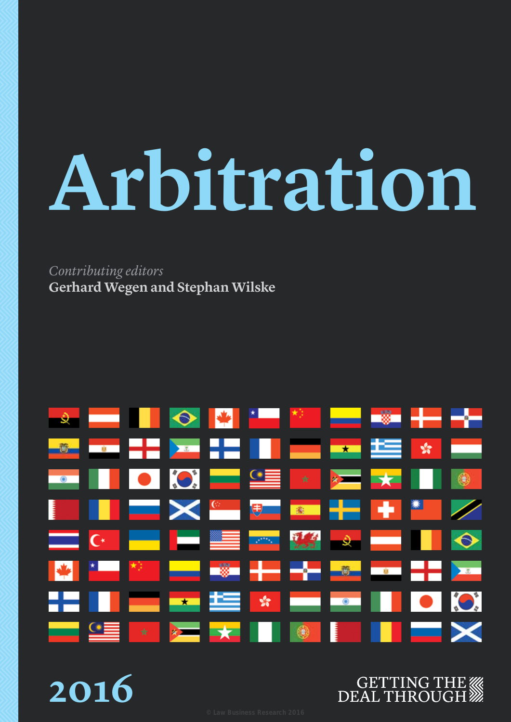# **Arbitration**

### *Contributing editors* **Gerhard Wegen and Stephan Wilske**



### **2016**

### **GETTING THE WAR** DEAL THROUGH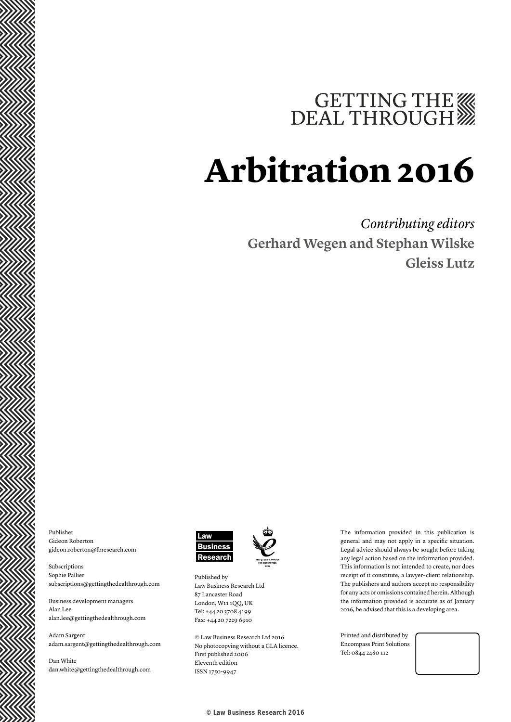# GETTING THE

# **Arbitration 2016**

### *Contributing editors* **Gerhard Wegen and Stephan Wilske Gleiss Lutz**

Publisher Gideon Roberton gideon.roberton@lbresearch.com

Subscriptions Sophie Pallier subscriptions@gettingthedealthrough.com

Business development managers Alan Lee alan.lee@gettingthedealthrough.com

Adam Sargent adam.sargent@gettingthedealthrough.com

Dan White dan.white@gettingthedealthrough.com





© Law Business Research Ltd 2016 No photocopying without a CLA licence. First published 2006 Eleventh edition ISSN 1750-9947

The information provided in this publication is general and may not apply in a specific situation. Legal advice should always be sought before taking any legal action based on the information provided. This information is not intended to create, nor does receipt of it constitute, a lawyer–client relationship. The publishers and authors accept no responsibility for any acts or omissions contained herein. Although the information provided is accurate as of January 2016, be advised that this is a developing area.

Printed and distributed by Encompass Print Solutions Tel: 0844 2480 112

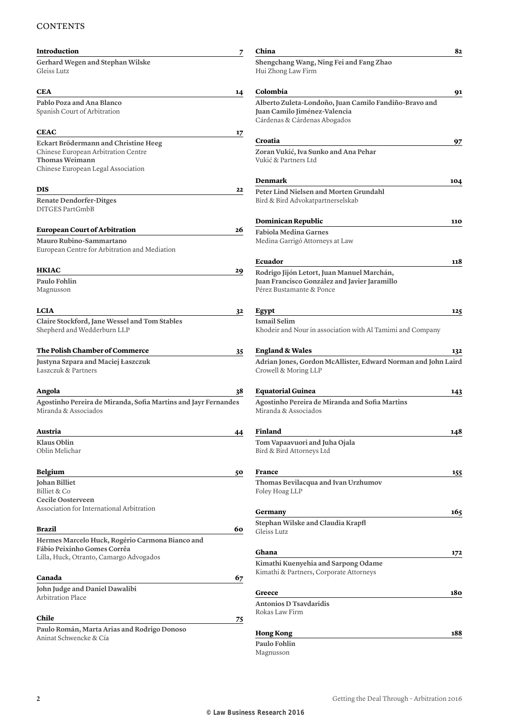#### **CONTENTS**

| <b>Introduction</b>                                                                                                                 | $\overline{\mathbf{z}}$ | China                                                                                                                  | 82  |
|-------------------------------------------------------------------------------------------------------------------------------------|-------------------------|------------------------------------------------------------------------------------------------------------------------|-----|
| Gerhard Wegen and Stephan Wilske<br>Gleiss Lutz                                                                                     |                         | Shengchang Wang, Ning Fei and Fang Zhao<br>Hui Zhong Law Firm                                                          |     |
| CEA                                                                                                                                 | 14                      | Colombia                                                                                                               | 91  |
| Pablo Poza and Ana Blanco<br>Spanish Court of Arbitration                                                                           |                         | Alberto Zuleta-Londoño, Juan Camilo Fandiño-Bravo and<br>Juan Camilo Jiménez-Valencia<br>Cárdenas & Cárdenas Abogados  |     |
| <b>CEAC</b>                                                                                                                         | 17                      |                                                                                                                        |     |
| Eckart Brödermann and Christine Heeg<br>Chinese European Arbitration Centre<br>Thomas Weimann<br>Chinese European Legal Association |                         | Croatia<br>Zoran Vukić, Iva Sunko and Ana Pehar<br>Vukić & Partners Ltd                                                | 97  |
|                                                                                                                                     |                         | <b>Denmark</b>                                                                                                         | 104 |
| DIS<br><b>Renate Dendorfer-Ditges</b><br>DITGES PartGmbB                                                                            | 22                      | Peter Lind Nielsen and Morten Grundahl<br>Bird & Bird Advokatpartnerselskab                                            |     |
|                                                                                                                                     |                         | Dominican Republic                                                                                                     | 110 |
| <b>European Court of Arbitration</b><br>Mauro Rubino-Sammartano<br>European Centre for Arbitration and Mediation                    | 26                      | <b>Fabiola Medina Garnes</b><br>Medina Garrigó Attorneys at Law                                                        |     |
|                                                                                                                                     |                         | Ecuador                                                                                                                | 118 |
| <b>HKIAC</b><br>Paulo Fohlin<br>Magnusson                                                                                           | 29                      | Rodrigo Jijón Letort, Juan Manuel Marchán,<br>Juan Francisco González and Javier Jaramillo<br>Pérez Bustamante & Ponce |     |
| <b>LCIA</b>                                                                                                                         | 32                      | Egypt                                                                                                                  | 125 |
| Claire Stockford, Jane Wessel and Tom Stables<br>Shepherd and Wedderburn LLP                                                        |                         | <b>Ismail Selim</b><br>Khodeir and Nour in association with Al Tamimi and Company                                      |     |
| The Polish Chamber of Commerce                                                                                                      | 35                      | <b>England &amp; Wales</b>                                                                                             | 132 |
| Justyna Szpara and Maciej Łaszczuk<br>Łaszczuk & Partners                                                                           |                         | Adrian Jones, Gordon McAllister, Edward Norman and John Laird<br>Crowell & Moring LLP                                  |     |
| Angola                                                                                                                              | 38                      | <b>Equatorial Guinea</b>                                                                                               | 143 |
| Agostinho Pereira de Miranda, Sofia Martins and Jayr Fernandes<br>Miranda & Associados                                              |                         | Agostinho Pereira de Miranda and Sofia Martins<br>Miranda & Associados                                                 |     |
| Austria                                                                                                                             | $\overline{44}$         | Finland                                                                                                                | 148 |
| <b>Klaus Oblin</b><br>Oblin Melichar                                                                                                |                         | Tom Vapaavuori and Juha Ojala<br>Bird & Bird Attorneys Ltd                                                             |     |
| <b>Belgium</b>                                                                                                                      | 50                      | France                                                                                                                 | 155 |
| Johan Billiet<br>Billiet & Co<br>Cecile Oosterveen                                                                                  |                         | Thomas Bevilacqua and Ivan Urzhumov<br>Foley Hoag LLP                                                                  |     |
| Association for International Arbitration                                                                                           |                         | Germany                                                                                                                | 165 |
| Brazil                                                                                                                              | 60                      | Stephan Wilske and Claudia Krapfl<br>Gleiss Lutz                                                                       |     |
| Hermes Marcelo Huck, Rogério Carmona Bianco and                                                                                     |                         |                                                                                                                        |     |
| Fábio Peixinho Gomes Corrêa<br>Lilla, Huck, Otranto, Camargo Advogados                                                              |                         | Ghana                                                                                                                  | 172 |
|                                                                                                                                     |                         | Kimathi Kuenyehia and Sarpong Odame                                                                                    |     |
| Canada                                                                                                                              | 67                      | Kimathi & Partners, Corporate Attorneys                                                                                |     |
| John Judge and Daniel Dawalibi                                                                                                      |                         | Greece                                                                                                                 | 180 |
| Arbitration Place                                                                                                                   |                         | <b>Antonios D Tsavdaridis</b>                                                                                          |     |
| Chile                                                                                                                               | 75                      | Rokas Law Firm                                                                                                         |     |
| Paulo Román, Marta Arias and Rodrigo Donoso                                                                                         |                         |                                                                                                                        | 188 |
| Aninat Schwencke & Cía                                                                                                              |                         | <b>Hong Kong</b><br>Paulo Fohlin                                                                                       |     |
|                                                                                                                                     |                         | Magnusson                                                                                                              |     |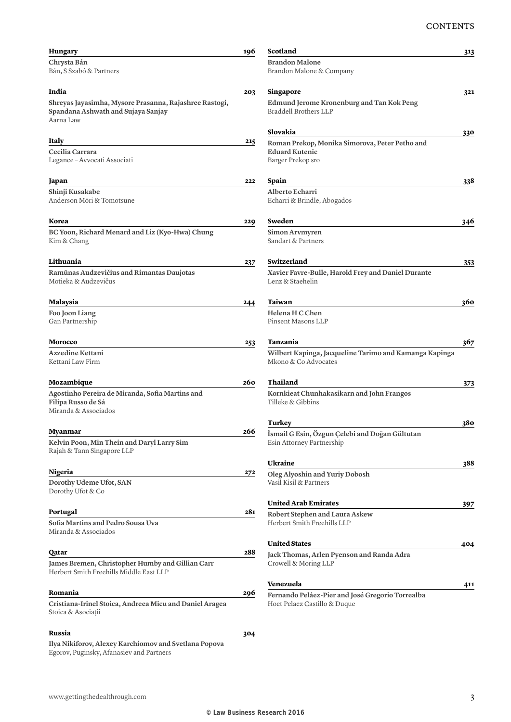| <b>Hungary</b>                                                                                            | 196 | Scotland                                                                         | 313 |
|-----------------------------------------------------------------------------------------------------------|-----|----------------------------------------------------------------------------------|-----|
| Chrysta Bán<br>Bán, S Szabó & Partners                                                                    |     | <b>Brandon Malone</b><br>Brandon Malone & Company                                |     |
| India                                                                                                     | 203 | Singapore                                                                        | 321 |
| Shreyas Jayasimha, Mysore Prasanna, Rajashree Rastogi,<br>Spandana Ashwath and Sujaya Sanjay<br>Aarna Law |     | Edmund Jerome Kronenburg and Tan Kok Peng<br>Braddell Brothers LLP               |     |
|                                                                                                           |     | Slovakia                                                                         | 330 |
| Italy                                                                                                     | 215 | Roman Prekop, Monika Simorova, Peter Petho and                                   |     |
| Cecilia Carrara<br>Legance - Avvocati Associati                                                           |     | <b>Eduard Kutenic</b><br>Barger Prekop sro                                       |     |
| Japan                                                                                                     | 222 | Spain                                                                            | 338 |
| Shinji Kusakabe                                                                                           |     | Alberto Echarri                                                                  |     |
| Anderson Mōri & Tomotsune                                                                                 |     | Echarri & Brindle, Abogados                                                      |     |
| Korea                                                                                                     | 229 | Sweden                                                                           | 346 |
| BC Yoon, Richard Menard and Liz (Kyo-Hwa) Chung<br>Kim & Chang                                            |     | Simon Arvmyren<br>Sandart & Partners                                             |     |
| Lithuania                                                                                                 | 237 | Switzerland                                                                      | 353 |
| Ramūnas Audzevičius and Rimantas Daujotas<br>Motieka & Audzevičus                                         |     | Xavier Favre-Bulle, Harold Frey and Daniel Durante<br>Lenz & Staehelin           |     |
| Malaysia                                                                                                  | 244 | Taiwan                                                                           | 360 |
| Foo Joon Liang<br>Gan Partnership                                                                         |     | Helena H C Chen<br>Pinsent Masons LLP                                            |     |
| Morocco                                                                                                   | 253 | Tanzania                                                                         | 367 |
| Azzedine Kettani<br>Kettani Law Firm                                                                      |     | Wilbert Kapinga, Jacqueline Tarimo and Kamanga Kapinga<br>Mkono & Co Advocates   |     |
| Mozambique                                                                                                | 260 | Thailand                                                                         | 373 |
| Agostinho Pereira de Miranda, Sofia Martins and<br>Filipa Russo de Sá<br>Miranda & Associados             |     | Kornkieat Chunhakasikarn and John Frangos<br>Tilleke & Gibbins                   |     |
|                                                                                                           | 266 | Turkey                                                                           | 380 |
| <b>Myanmar</b><br>Kelvin Poon, Min Thein and Daryl Larry Sim<br>Rajah & Tann Singapore LLP                |     | İsmail G Esin, Özgun Çelebi and Doğan Gültutan<br>Esin Attorney Partnership      |     |
|                                                                                                           |     | Ukraine                                                                          | 388 |
| Nigeria                                                                                                   | 272 | Oleg Alyoshin and Yuriy Dobosh                                                   |     |
| Dorothy Udeme Ufot, SAN<br>Dorothy Ufot & Co                                                              |     | Vasil Kisil & Partners                                                           |     |
|                                                                                                           |     | <b>United Arab Emirates</b>                                                      | 397 |
| Portugal<br>Sofia Martins and Pedro Sousa Uva<br>Miranda & Associados                                     | 281 | Robert Stephen and Laura Askew<br>Herbert Smith Freehills LLP                    |     |
|                                                                                                           |     | <b>United States</b>                                                             | 404 |
| Qatar                                                                                                     | 288 | Jack Thomas, Arlen Pyenson and Randa Adra                                        |     |
| James Bremen, Christopher Humby and Gillian Carr<br>Herbert Smith Freehills Middle East LLP               |     | Crowell & Moring LLP                                                             |     |
| Romania                                                                                                   | 296 | Venezuela                                                                        | 411 |
| Cristiana-Irinel Stoica, Andreea Micu and Daniel Aragea<br>Stoica & Asociații                             |     | Fernando Peláez-Pier and José Gregorio Torrealba<br>Hoet Pelaez Castillo & Duque |     |
| Russia                                                                                                    | 304 |                                                                                  |     |
| Ilva Milriformaz Alexan Karobiamay and Syntlang Dan                                                       |     |                                                                                  |     |

Stoica & Asociaţii **Russia 304 Ilya Nikiforov, Alexey Karchiomov and Svetlana Popova**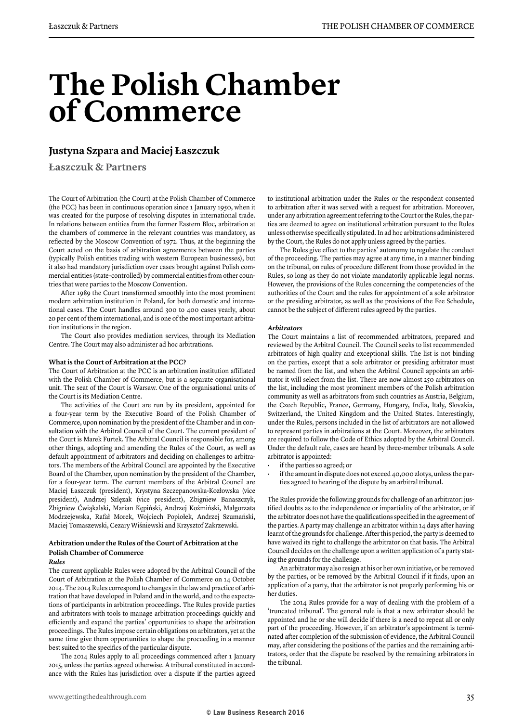### **The Polish Chamber of Commerce**

#### **Justyna Szpara and Maciej Łaszczuk**

**Łaszczuk & Partners**

The Court of Arbitration (the Court) at the Polish Chamber of Commerce (the PCC) has been in continuous operation since 1 January 1950, when it was created for the purpose of resolving disputes in international trade. In relations between entities from the former Eastern Bloc, arbitration at the chambers of commerce in the relevant countries was mandatory, as reflected by the Moscow Convention of 1972. Thus, at the beginning the Court acted on the basis of arbitration agreements between the parties (typically Polish entities trading with western European businesses), but it also had mandatory jurisdiction over cases brought against Polish commercial entities (state-controlled) by commercial entities from other countries that were parties to the Moscow Convention.

After 1989 the Court transformed smoothly into the most prominent modern arbitration institution in Poland, for both domestic and international cases. The Court handles around 300 to 400 cases yearly, about 20 per cent of them international, and is one of the most important arbitration institutions in the region.

The Court also provides mediation services, through its Mediation Centre. The Court may also administer ad hoc arbitrations.

#### **What is the Court of Arbitration at the PCC?**

The Court of Arbitration at the PCC is an arbitration institution affiliated with the Polish Chamber of Commerce, but is a separate organisational unit. The seat of the Court is Warsaw. One of the organisational units of the Court is its Mediation Centre.

The activities of the Court are run by its president, appointed for a four-year term by the Executive Board of the Polish Chamber of Commerce, upon nomination by the president of the Chamber and in consultation with the Arbitral Council of the Court. The current president of the Court is Marek Furtek. The Arbitral Council is responsible for, among other things, adopting and amending the Rules of the Court, as well as default appointment of arbitrators and deciding on challenges to arbitrators. The members of the Arbitral Council are appointed by the Executive Board of the Chamber, upon nomination by the president of the Chamber, for a four-year term. The current members of the Arbitral Council are Maciej Łaszczuk (president), Krystyna Szczepanowska-Kozłowska (vice president), Andrzej Szlęzak (vice president), Zbigniew Banaszczyk, Zbigniew Ćwiąkalski, Marian Kępiński, Andrzej Koźmiński, Małgorzata Modrzejewska, Rafał Morek, Wojciech Popiołek, Andrzej Szumański, Maciej Tomaszewski, Cezary Wiśniewski and Krzysztof Zakrzewski.

#### **Arbitration under the Rules of the Court of Arbitration at the Polish Chamber of Commerce**

#### *Rules*

The current applicable Rules were adopted by the Arbitral Council of the Court of Arbitration at the Polish Chamber of Commerce on 14 October 2014. The 2014 Rules correspond to changes in the law and practice of arbitration that have developed in Poland and in the world, and to the expectations of participants in arbitration proceedings. The Rules provide parties and arbitrators with tools to manage arbitration proceedings quickly and efficiently and expand the parties' opportunities to shape the arbitration proceedings. The Rules impose certain obligations on arbitrators, yet at the same time give them opportunities to shape the proceeding in a manner best suited to the specifics of the particular dispute.

The 2014 Rules apply to all proceedings commenced after 1 January 2015, unless the parties agreed otherwise. A tribunal constituted in accordance with the Rules has jurisdiction over a dispute if the parties agreed to institutional arbitration under the Rules or the respondent consented to arbitration after it was served with a request for arbitration. Moreover, under any arbitration agreement referring to the Court or the Rules, the parties are deemed to agree on institutional arbitration pursuant to the Rules unless otherwise specifically stipulated. In ad hoc arbitrations administered by the Court, the Rules do not apply unless agreed by the parties.

The Rules give effect to the parties' autonomy to regulate the conduct of the proceeding. The parties may agree at any time, in a manner binding on the tribunal, on rules of procedure different from those provided in the Rules, so long as they do not violate mandatorily applicable legal norms. However, the provisions of the Rules concerning the competencies of the authorities of the Court and the rules for appointment of a sole arbitrator or the presiding arbitrator, as well as the provisions of the Fee Schedule, cannot be the subject of different rules agreed by the parties.

#### *Arbitrators*

The Court maintains a list of recommended arbitrators, prepared and reviewed by the Arbitral Council. The Council seeks to list recommended arbitrators of high quality and exceptional skills. The list is not binding on the parties, except that a sole arbitrator or presiding arbitrator must be named from the list, and when the Arbitral Council appoints an arbitrator it will select from the list. There are now almost 250 arbitrators on the list, including the most prominent members of the Polish arbitration community as well as arbitrators from such countries as Austria, Belgium, the Czech Republic, France, Germany, Hungary, India, Italy, Slovakia, Switzerland, the United Kingdom and the United States. Interestingly, under the Rules, persons included in the list of arbitrators are not allowed to represent parties in arbitrations at the Court. Moreover, the arbitrators are required to follow the Code of Ethics adopted by the Arbitral Council. Under the default rule, cases are heard by three-member tribunals. A sole arbitrator is appointed:

- if the parties so agreed; or
- if the amount in dispute does not exceed 40,000 zlotys, unless the parties agreed to hearing of the dispute by an arbitral tribunal.

The Rules provide the following grounds for challenge of an arbitrator: justified doubts as to the independence or impartiality of the arbitrator, or if the arbitrator does not have the qualifications specified in the agreement of the parties. A party may challenge an arbitrator within 14 days after having learnt of the grounds for challenge. After this period, the party is deemed to have waived its right to challenge the arbitrator on that basis. The Arbitral Council decides on the challenge upon a written application of a party stating the grounds for the challenge.

An arbitrator may also resign at his or her own initiative, or be removed by the parties, or be removed by the Arbitral Council if it finds, upon an application of a party, that the arbitrator is not properly performing his or her duties.

The 2014 Rules provide for a way of dealing with the problem of a 'truncated tribunal'. The general rule is that a new arbitrator should be appointed and he or she will decide if there is a need to repeat all or only part of the proceeding. However, if an arbitrator's appointment is terminated after completion of the submission of evidence, the Arbitral Council may, after considering the positions of the parties and the remaining arbitrators, order that the dispute be resolved by the remaining arbitrators in the tribunal.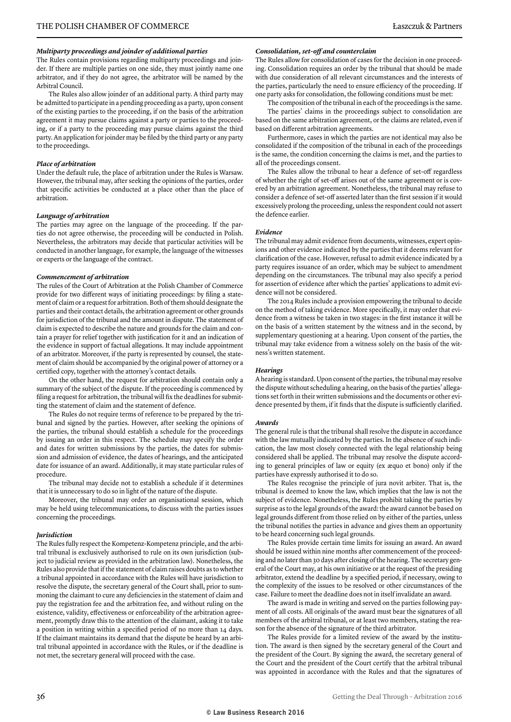#### *Multiparty proceedings and joinder of additional parties*

The Rules contain provisions regarding multiparty proceedings and joinder. If there are multiple parties on one side, they must jointly name one arbitrator, and if they do not agree, the arbitrator will be named by the Arbitral Council.

The Rules also allow joinder of an additional party. A third party may be admitted to participate in a pending proceeding as a party, upon consent of the existing parties to the proceeding, if on the basis of the arbitration agreement it may pursue claims against a party or parties to the proceeding, or if a party to the proceeding may pursue claims against the third party. An application for joinder may be filed by the third party or any party to the proceedings.

#### *Place of arbitration*

Under the default rule, the place of arbitration under the Rules is Warsaw. However, the tribunal may, after seeking the opinions of the parties, order that specific activities be conducted at a place other than the place of arbitration.

#### *Language of arbitration*

The parties may agree on the language of the proceeding. If the parties do not agree otherwise, the proceeding will be conducted in Polish. Nevertheless, the arbitrators may decide that particular activities will be conducted in another language, for example, the language of the witnesses or experts or the language of the contract.

#### *Commencement of arbitration*

The rules of the Court of Arbitration at the Polish Chamber of Commerce provide for two different ways of initiating proceedings: by filing a statement of claim or a request for arbitration. Both of them should designate the parties and their contact details, the arbitration agreement or other grounds for jurisdiction of the tribunal and the amount in dispute. The statement of claim is expected to describe the nature and grounds for the claim and contain a prayer for relief together with justification for it and an indication of the evidence in support of factual allegations. It may include appointment of an arbitrator. Moreover, if the party is represented by counsel, the statement of claim should be accompanied by the original power of attorney or a certified copy, together with the attorney's contact details.

On the other hand, the request for arbitration should contain only a summary of the subject of the dispute. If the proceeding is commenced by filing a request for arbitration, the tribunal will fix the deadlines for submitting the statement of claim and the statement of defence.

The Rules do not require terms of reference to be prepared by the tribunal and signed by the parties. However, after seeking the opinions of the parties, the tribunal should establish a schedule for the proceedings by issuing an order in this respect. The schedule may specify the order and dates for written submissions by the parties, the dates for submission and admission of evidence, the dates of hearings, and the anticipated date for issuance of an award. Additionally, it may state particular rules of procedure.

The tribunal may decide not to establish a schedule if it determines that it is unnecessary to do so in light of the nature of the dispute.

Moreover, the tribunal may order an organisational session, which may be held using telecommunications, to discuss with the parties issues concerning the proceedings.

#### *Jurisdiction*

The Rules fully respect the Kompetenz-Kompetenz principle, and the arbitral tribunal is exclusively authorised to rule on its own jurisdiction (subject to judicial review as provided in the arbitration law). Nonetheless, the Rules also provide that if the statement of claim raises doubts as to whether a tribunal appointed in accordance with the Rules will have jurisdiction to resolve the dispute, the secretary general of the Court shall, prior to summoning the claimant to cure any deficiencies in the statement of claim and pay the registration fee and the arbitration fee, and without ruling on the existence, validity, effectiveness or enforceability of the arbitration agreement, promptly draw this to the attention of the claimant, asking it to take a position in writing within a specified period of no more than 14 days. If the claimant maintains its demand that the dispute be heard by an arbitral tribunal appointed in accordance with the Rules, or if the deadline is not met, the secretary general will proceed with the case.

#### *Consolidation, set-off and counterclaim*

The Rules allow for consolidation of cases for the decision in one proceeding. Consolidation requires an order by the tribunal that should be made with due consideration of all relevant circumstances and the interests of the parties, particularly the need to ensure efficiency of the proceeding. If one party asks for consolidation, the following conditions must be met:

The composition of the tribunal in each of the proceedings is the same. The parties' claims in the proceedings subject to consolidation are based on the same arbitration agreement, or the claims are related, even if based on different arbitration agreements.

Furthermore, cases in which the parties are not identical may also be consolidated if the composition of the tribunal in each of the proceedings is the same, the condition concerning the claims is met, and the parties to all of the proceedings consent.

The Rules allow the tribunal to hear a defence of set-off regardless of whether the right of set-off arises out of the same agreement or is covered by an arbitration agreement. Nonetheless, the tribunal may refuse to consider a defence of set-off asserted later than the first session if it would excessively prolong the proceeding, unless the respondent could not assert the defence earlier.

#### *Evidence*

The tribunal may admit evidence from documents, witnesses, expert opinions and other evidence indicated by the parties that it deems relevant for clarification of the case. However, refusal to admit evidence indicated by a party requires issuance of an order, which may be subject to amendment depending on the circumstances. The tribunal may also specify a period for assertion of evidence after which the parties' applications to admit evidence will not be considered.

The 2014 Rules include a provision empowering the tribunal to decide on the method of taking evidence. More specifically, it may order that evidence from a witness be taken in two stages: in the first instance it will be on the basis of a written statement by the witness and in the second, by supplementary questioning at a hearing. Upon consent of the parties, the tribunal may take evidence from a witness solely on the basis of the witness's written statement.

#### *Hearings*

A hearing is standard. Upon consent of the parties, the tribunal may resolve the dispute without scheduling a hearing, on the basis of the parties' allegations set forth in their written submissions and the documents or other evidence presented by them, if it finds that the dispute is sufficiently clarified.

#### *Awards*

The general rule is that the tribunal shall resolve the dispute in accordance with the law mutually indicated by the parties. In the absence of such indication, the law most closely connected with the legal relationship being considered shall be applied. The tribunal may resolve the dispute according to general principles of law or equity (ex æquo et bono) only if the parties have expressly authorised it to do so.

The Rules recognise the principle of jura novit arbiter. That is, the tribunal is deemed to know the law, which implies that the law is not the subject of evidence. Nonetheless, the Rules prohibit taking the parties by surprise as to the legal grounds of the award: the award cannot be based on legal grounds different from those relied on by either of the parties, unless the tribunal notifies the parties in advance and gives them an opportunity to be heard concerning such legal grounds.

The Rules provide certain time limits for issuing an award. An award should be issued within nine months after commencement of the proceeding and no later than 30 days after closing of the hearing. The secretary general of the Court may, at his own initiative or at the request of the presiding arbitrator, extend the deadline by a specified period, if necessary, owing to the complexity of the issues to be resolved or other circumstances of the case. Failure to meet the deadline does not in itself invalidate an award.

The award is made in writing and served on the parties following payment of all costs. All originals of the award must bear the signatures of all members of the arbitral tribunal, or at least two members, stating the reason for the absence of the signature of the third arbitrator.

The Rules provide for a limited review of the award by the institution. The award is then signed by the secretary general of the Court and the president of the Court. By signing the award, the secretary general of the Court and the president of the Court certify that the arbitral tribunal was appointed in accordance with the Rules and that the signatures of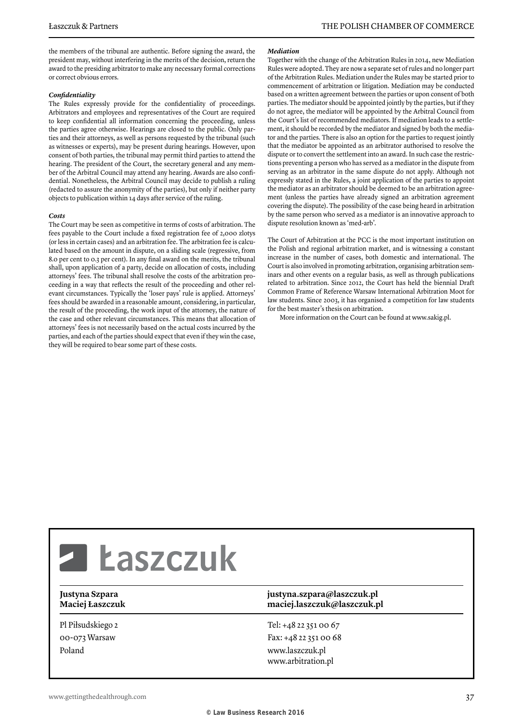the members of the tribunal are authentic. Before signing the award, the president may, without interfering in the merits of the decision, return the award to the presiding arbitrator to make any necessary formal corrections or correct obvious errors.

#### *Confidentiality*

The Rules expressly provide for the confidentiality of proceedings. Arbitrators and employees and representatives of the Court are required to keep confidential all information concerning the proceeding, unless the parties agree otherwise. Hearings are closed to the public. Only parties and their attorneys, as well as persons requested by the tribunal (such as witnesses or experts), may be present during hearings. However, upon consent of both parties, the tribunal may permit third parties to attend the hearing. The president of the Court, the secretary general and any member of the Arbitral Council may attend any hearing. Awards are also confidential. Nonetheless, the Arbitral Council may decide to publish a ruling (redacted to assure the anonymity of the parties), but only if neither party objects to publication within 14 days after service of the ruling.

#### *Costs*

The Court may be seen as competitive in terms of costs of arbitration. The fees payable to the Court include a fixed registration fee of 2,000 zlotys (or less in certain cases) and an arbitration fee. The arbitration fee is calculated based on the amount in dispute, on a sliding scale (regressive, from 8.0 per cent to 0.3 per cent). In any final award on the merits, the tribunal shall, upon application of a party, decide on allocation of costs, including attorneys' fees. The tribunal shall resolve the costs of the arbitration proceeding in a way that reflects the result of the proceeding and other relevant circumstances. Typically the 'loser pays' rule is applied. Attorneys' fees should be awarded in a reasonable amount, considering, in particular, the result of the proceeding, the work input of the attorney, the nature of the case and other relevant circumstances. This means that allocation of attorneys' fees is not necessarily based on the actual costs incurred by the parties, and each of the parties should expect that even if they win the case, they will be required to bear some part of these costs.

#### *Mediation*

Together with the change of the Arbitration Rules in 2014, new Mediation Rules were adopted. They are now a separate set of rules and no longer part of the Arbitration Rules. Mediation under the Rules may be started prior to commencement of arbitration or litigation. Mediation may be conducted based on a written agreement between the parties or upon consent of both parties. The mediator should be appointed jointly by the parties, but if they do not agree, the mediator will be appointed by the Arbitral Council from the Court's list of recommended mediators. If mediation leads to a settlement, it should be recorded by the mediator and signed by both the mediator and the parties. There is also an option for the parties to request jointly that the mediator be appointed as an arbitrator authorised to resolve the dispute or to convert the settlement into an award. In such case the restrictions preventing a person who has served as a mediator in the dispute from serving as an arbitrator in the same dispute do not apply. Although not expressly stated in the Rules, a joint application of the parties to appoint the mediator as an arbitrator should be deemed to be an arbitration agreement (unless the parties have already signed an arbitration agreement covering the dispute). The possibility of the case being heard in arbitration by the same person who served as a mediator is an innovative approach to dispute resolution known as 'med-arb'.

The Court of Arbitration at the PCC is the most important institution on the Polish and regional arbitration market, and is witnessing a constant increase in the number of cases, both domestic and international. The Court is also involved in promoting arbitration, organising arbitration seminars and other events on a regular basis, as well as through publications related to arbitration. Since 2012, the Court has held the biennial Draft Common Frame of Reference Warsaw International Arbitration Moot for law students. Since 2003, it has organised a competition for law students for the best master's thesis on arbitration.

More information on the Court can be found at www.sakig.pl.

# **Z Łaszczuk**

Pl Piłsudskiego 2 00-073 Warsaw Poland

#### **Justyna Szpara justyna.szpara@laszczuk.pl Maciej Łaszczuk maciej.laszczuk@laszczuk.pl**

Tel: +48 22 351 00 67 Fax: +48 22 351 00 68 www.laszczuk.pl www.arbitration.pl